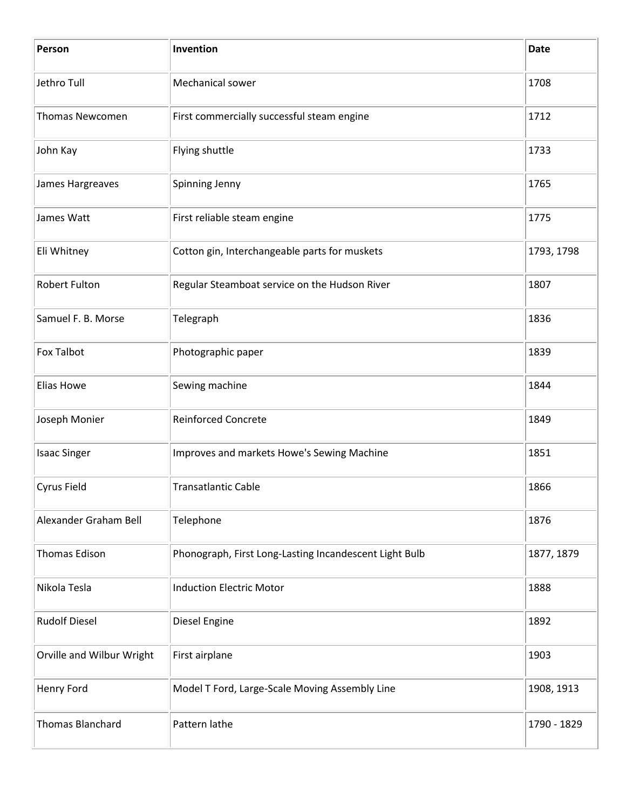| Person                    | Invention                                              | <b>Date</b> |
|---------------------------|--------------------------------------------------------|-------------|
| Jethro Tull               | Mechanical sower                                       | 1708        |
| <b>Thomas Newcomen</b>    | First commercially successful steam engine             | 1712        |
| John Kay                  | Flying shuttle                                         | 1733        |
| James Hargreaves          | Spinning Jenny                                         | 1765        |
| James Watt                | First reliable steam engine                            | 1775        |
| Eli Whitney               | Cotton gin, Interchangeable parts for muskets          | 1793, 1798  |
| <b>Robert Fulton</b>      | Regular Steamboat service on the Hudson River          | 1807        |
| Samuel F. B. Morse        | Telegraph                                              | 1836        |
| <b>Fox Talbot</b>         | Photographic paper                                     | 1839        |
| Elias Howe                | Sewing machine                                         | 1844        |
| Joseph Monier             | <b>Reinforced Concrete</b>                             | 1849        |
| <b>Isaac Singer</b>       | Improves and markets Howe's Sewing Machine             | 1851        |
| Cyrus Field               | <b>Transatlantic Cable</b>                             | 1866        |
| Alexander Graham Bell     | Telephone                                              | 1876        |
| <b>Thomas Edison</b>      | Phonograph, First Long-Lasting Incandescent Light Bulb | 1877, 1879  |
| Nikola Tesla              | <b>Induction Electric Motor</b>                        | 1888        |
| <b>Rudolf Diesel</b>      | Diesel Engine                                          | 1892        |
| Orville and Wilbur Wright | First airplane                                         | 1903        |
| Henry Ford                | Model T Ford, Large-Scale Moving Assembly Line         | 1908, 1913  |
| <b>Thomas Blanchard</b>   | Pattern lathe                                          | 1790 - 1829 |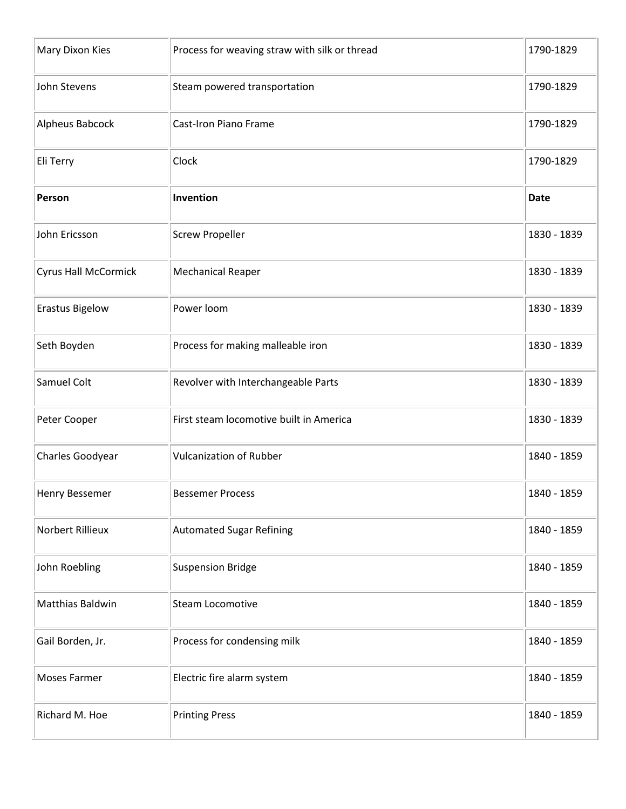| Mary Dixon Kies             | Process for weaving straw with silk or thread | 1790-1829   |
|-----------------------------|-----------------------------------------------|-------------|
| John Stevens                | Steam powered transportation                  | 1790-1829   |
| Alpheus Babcock             | Cast-Iron Piano Frame                         | 1790-1829   |
| Eli Terry                   | Clock                                         | 1790-1829   |
| Person                      | Invention                                     | <b>Date</b> |
| John Ericsson               | <b>Screw Propeller</b>                        | 1830 - 1839 |
| <b>Cyrus Hall McCormick</b> | <b>Mechanical Reaper</b>                      | 1830 - 1839 |
| <b>Erastus Bigelow</b>      | Power loom                                    | 1830 - 1839 |
| Seth Boyden                 | Process for making malleable iron             | 1830 - 1839 |
| Samuel Colt                 | Revolver with Interchangeable Parts           | 1830 - 1839 |
| Peter Cooper                | First steam locomotive built in America       | 1830 - 1839 |
| Charles Goodyear            | <b>Vulcanization of Rubber</b>                | 1840 - 1859 |
| Henry Bessemer              | <b>Bessemer Process</b>                       | 1840 - 1859 |
| Norbert Rillieux            | <b>Automated Sugar Refining</b>               | 1840 - 1859 |
| John Roebling               | <b>Suspension Bridge</b>                      | 1840 - 1859 |
| Matthias Baldwin            | <b>Steam Locomotive</b>                       | 1840 - 1859 |
| Gail Borden, Jr.            | Process for condensing milk                   | 1840 - 1859 |
| <b>Moses Farmer</b>         | Electric fire alarm system                    | 1840 - 1859 |
| Richard M. Hoe              | <b>Printing Press</b>                         | 1840 - 1859 |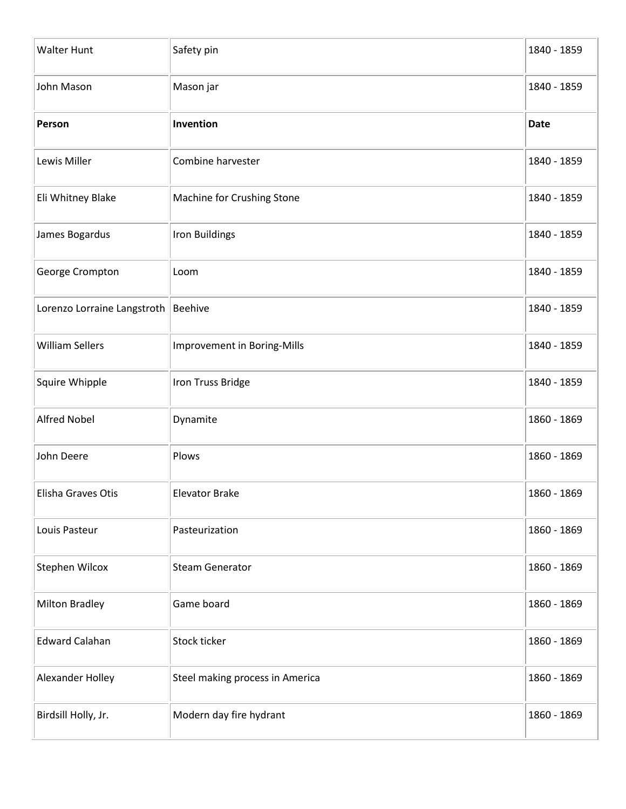| <b>Walter Hunt</b>          | Safety pin                      | 1840 - 1859 |
|-----------------------------|---------------------------------|-------------|
| John Mason                  | Mason jar                       | 1840 - 1859 |
| Person                      | Invention                       | <b>Date</b> |
| Lewis Miller                | Combine harvester               | 1840 - 1859 |
| Eli Whitney Blake           | Machine for Crushing Stone      | 1840 - 1859 |
| James Bogardus              | Iron Buildings                  | 1840 - 1859 |
| George Crompton             | Loom                            | 1840 - 1859 |
| Lorenzo Lorraine Langstroth | <b>Beehive</b>                  | 1840 - 1859 |
| <b>William Sellers</b>      | Improvement in Boring-Mills     | 1840 - 1859 |
| Squire Whipple              | Iron Truss Bridge               | 1840 - 1859 |
| <b>Alfred Nobel</b>         | Dynamite                        | 1860 - 1869 |
| John Deere                  | Plows                           | 1860 - 1869 |
| Elisha Graves Otis          | <b>Elevator Brake</b>           | 1860 - 1869 |
| Louis Pasteur               | Pasteurization                  | 1860 - 1869 |
| Stephen Wilcox              | <b>Steam Generator</b>          | 1860 - 1869 |
| <b>Milton Bradley</b>       | Game board                      | 1860 - 1869 |
| <b>Edward Calahan</b>       | Stock ticker                    | 1860 - 1869 |
| Alexander Holley            | Steel making process in America | 1860 - 1869 |
| Birdsill Holly, Jr.         | Modern day fire hydrant         | 1860 - 1869 |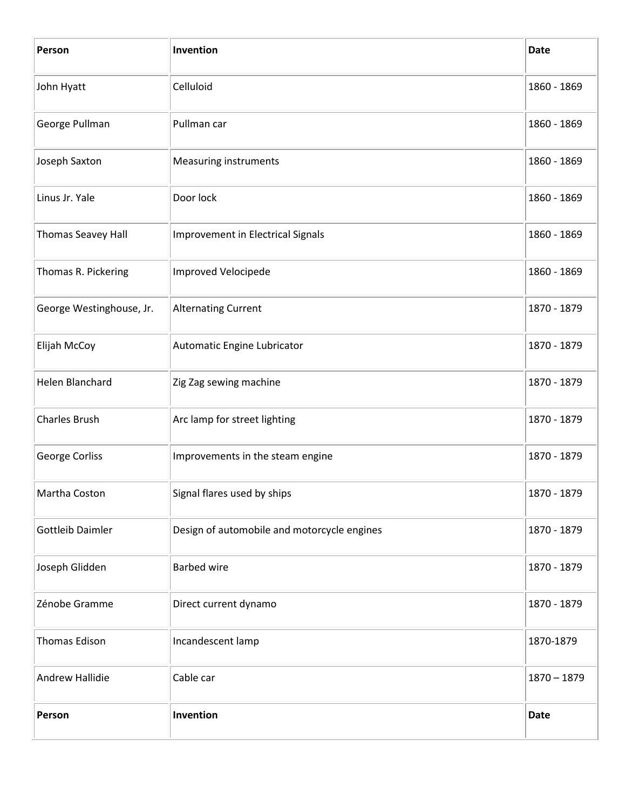| Person                   | Invention                                   | <b>Date</b>   |
|--------------------------|---------------------------------------------|---------------|
| John Hyatt               | Celluloid                                   | 1860 - 1869   |
| George Pullman           | Pullman car                                 | 1860 - 1869   |
| Joseph Saxton            | <b>Measuring instruments</b>                | 1860 - 1869   |
| Linus Jr. Yale           | Door lock                                   | 1860 - 1869   |
| Thomas Seavey Hall       | Improvement in Electrical Signals           | 1860 - 1869   |
| Thomas R. Pickering      | Improved Velocipede                         | 1860 - 1869   |
| George Westinghouse, Jr. | <b>Alternating Current</b>                  | 1870 - 1879   |
| Elijah McCoy             | Automatic Engine Lubricator                 | 1870 - 1879   |
| Helen Blanchard          | Zig Zag sewing machine                      | 1870 - 1879   |
| <b>Charles Brush</b>     | Arc lamp for street lighting                | 1870 - 1879   |
| George Corliss           | Improvements in the steam engine            | 1870 - 1879   |
| Martha Coston            | Signal flares used by ships                 | 1870 - 1879   |
| <b>Gottleib Daimler</b>  | Design of automobile and motorcycle engines | 1870 - 1879   |
| Joseph Glidden           | <b>Barbed wire</b>                          | 1870 - 1879   |
| Zénobe Gramme            | Direct current dynamo                       | 1870 - 1879   |
| Thomas Edison            | Incandescent lamp                           | 1870-1879     |
| Andrew Hallidie          | Cable car                                   | $1870 - 1879$ |
| Person                   | Invention                                   | <b>Date</b>   |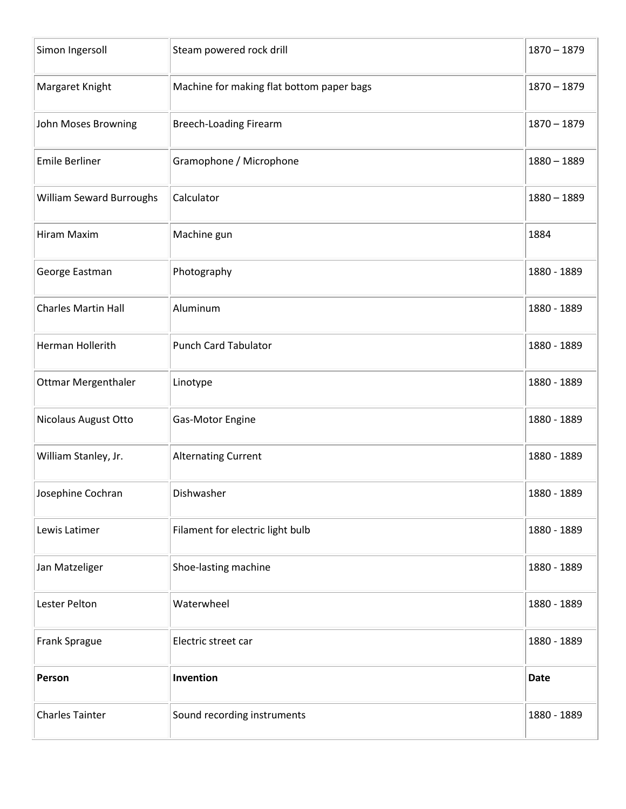| Simon Ingersoll                 | Steam powered rock drill                  | $1870 - 1879$ |
|---------------------------------|-------------------------------------------|---------------|
| Margaret Knight                 | Machine for making flat bottom paper bags | $1870 - 1879$ |
| John Moses Browning             | <b>Breech-Loading Firearm</b>             | $1870 - 1879$ |
| <b>Emile Berliner</b>           | Gramophone / Microphone                   | $1880 - 1889$ |
| <b>William Seward Burroughs</b> | Calculator                                | $1880 - 1889$ |
| Hiram Maxim                     | Machine gun                               | 1884          |
| George Eastman                  | Photography                               | 1880 - 1889   |
| <b>Charles Martin Hall</b>      | Aluminum                                  | 1880 - 1889   |
| Herman Hollerith                | <b>Punch Card Tabulator</b>               | 1880 - 1889   |
| <b>Ottmar Mergenthaler</b>      | Linotype                                  | 1880 - 1889   |
| Nicolaus August Otto            | Gas-Motor Engine                          | 1880 - 1889   |
| William Stanley, Jr.            | <b>Alternating Current</b>                | 1880 - 1889   |
| Josephine Cochran               | Dishwasher                                | 1880 - 1889   |
| Lewis Latimer                   | Filament for electric light bulb          | 1880 - 1889   |
| Jan Matzeliger                  | Shoe-lasting machine                      | 1880 - 1889   |
| Lester Pelton                   | Waterwheel                                | 1880 - 1889   |
| Frank Sprague                   | Electric street car                       | 1880 - 1889   |
| Person                          | Invention                                 | <b>Date</b>   |
| <b>Charles Tainter</b>          | Sound recording instruments               | 1880 - 1889   |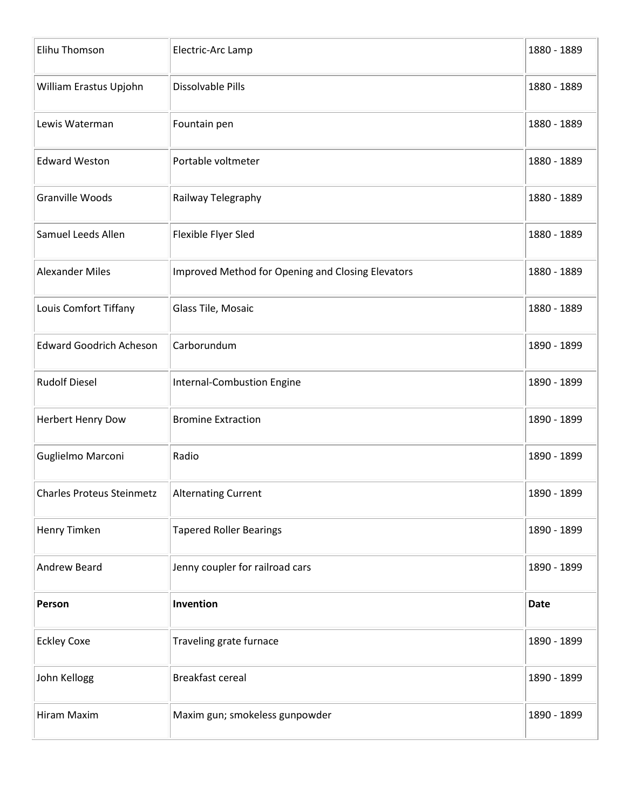| Elihu Thomson                    | Electric-Arc Lamp                                 | 1880 - 1889 |
|----------------------------------|---------------------------------------------------|-------------|
| William Erastus Upjohn           | Dissolvable Pills                                 | 1880 - 1889 |
| Lewis Waterman                   | Fountain pen                                      | 1880 - 1889 |
| <b>Edward Weston</b>             | Portable voltmeter                                | 1880 - 1889 |
| Granville Woods                  | Railway Telegraphy                                | 1880 - 1889 |
| Samuel Leeds Allen               | Flexible Flyer Sled                               | 1880 - 1889 |
| <b>Alexander Miles</b>           | Improved Method for Opening and Closing Elevators | 1880 - 1889 |
| Louis Comfort Tiffany            | Glass Tile, Mosaic                                | 1880 - 1889 |
| <b>Edward Goodrich Acheson</b>   | Carborundum                                       | 1890 - 1899 |
| <b>Rudolf Diesel</b>             | <b>Internal-Combustion Engine</b>                 | 1890 - 1899 |
| Herbert Henry Dow                | <b>Bromine Extraction</b>                         | 1890 - 1899 |
| Guglielmo Marconi                | Radio                                             | 1890 - 1899 |
| <b>Charles Proteus Steinmetz</b> | <b>Alternating Current</b>                        | 1890 - 1899 |
| Henry Timken                     | <b>Tapered Roller Bearings</b>                    | 1890 - 1899 |
| Andrew Beard                     | Jenny coupler for railroad cars                   | 1890 - 1899 |
| Person                           | Invention                                         | <b>Date</b> |
| <b>Eckley Coxe</b>               | Traveling grate furnace                           | 1890 - 1899 |
| John Kellogg                     | Breakfast cereal                                  | 1890 - 1899 |
| Hiram Maxim                      | Maxim gun; smokeless gunpowder                    | 1890 - 1899 |